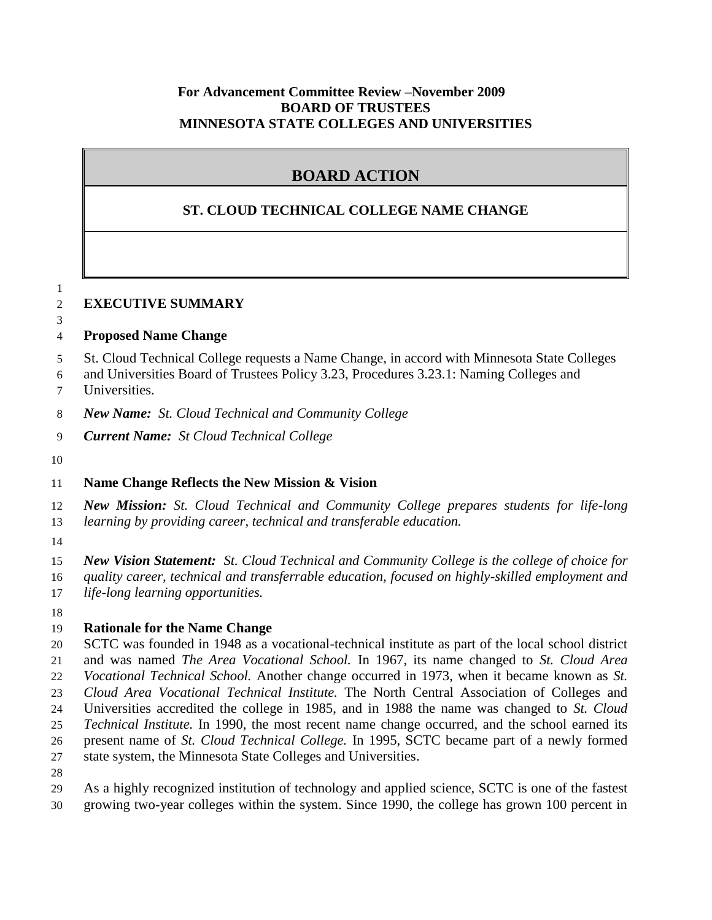#### **For Advancement Committee Review –November 2009 BOARD OF TRUSTEES MINNESOTA STATE COLLEGES AND UNIVERSITIES**

# **BOARD ACTION**

## **ST. CLOUD TECHNICAL COLLEGE NAME CHANGE**

#### 

#### **EXECUTIVE SUMMARY**

# **Proposed Name Change**

- St. Cloud Technical College requests a Name Change, in accord with Minnesota State Colleges
- and Universities Board of Trustees Policy 3.23, Procedures 3.23.1: Naming Colleges and
- Universities.
- *New Name: St. Cloud Technical and Community College*
- *Current Name:**St Cloud Technical College*
- 

## **Name Change Reflects the New Mission & Vision**

 *New Mission: St. Cloud Technical and Community College prepares students for life-long learning by providing career, technical and transferable education.*

 *New Vision Statement: St. Cloud Technical and Community College is the college of choice for quality career, technical and transferrable education, focused on highly-skilled employment and life-long learning opportunities.*

## **Rationale for the Name Change**

 SCTC was founded in 1948 as a vocational-technical institute as part of the local school district and was named *The Area Vocational School.* In 1967, its name changed to *St. Cloud Area Vocational Technical School.* Another change occurred in 1973, when it became known as *St. Cloud Area Vocational Technical Institute.* The North Central Association of Colleges and Universities accredited the college in 1985, and in 1988 the name was changed to *St. Cloud Technical Institute.* In 1990, the most recent name change occurred, and the school earned its present name of *St. Cloud Technical College.* In 1995, SCTC became part of a newly formed state system, the Minnesota State Colleges and Universities.

 As a highly recognized institution of technology and applied science, SCTC is one of the fastest growing two-year colleges within the system. Since 1990, the college has grown 100 percent in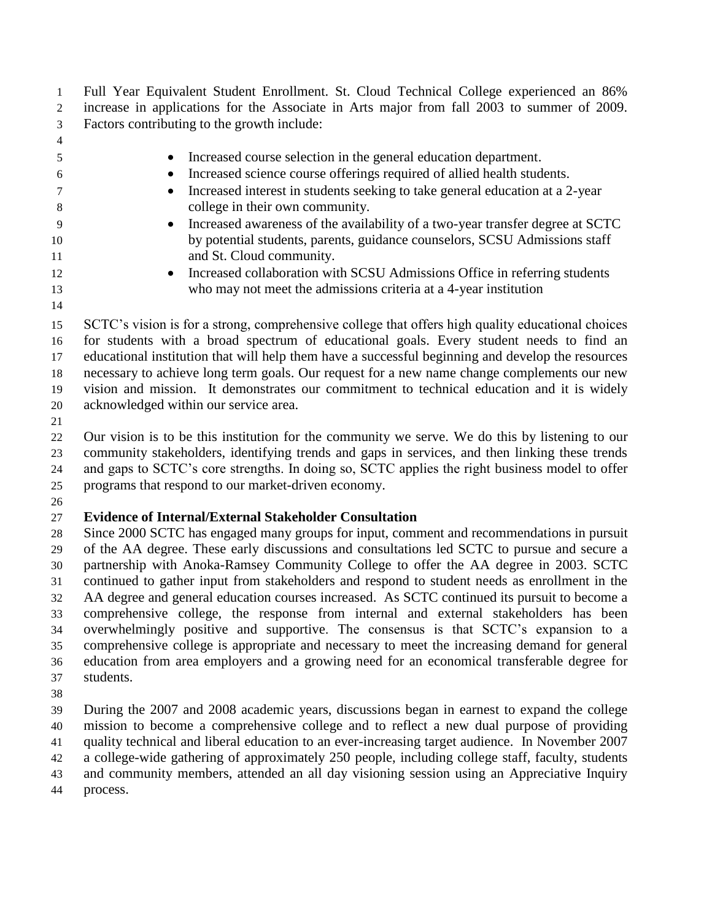Full Year Equivalent Student Enrollment. St. Cloud Technical College experienced an 86% increase in applications for the Associate in Arts major from fall 2003 to summer of 2009. Factors contributing to the growth include:

- 
- Increased course selection in the general education department.
- Increased science course offerings required of allied health students.
- Increased interest in students seeking to take general education at a 2-year college in their own community.
- Increased awareness of the availability of a two-year transfer degree at SCTC by potential students, parents, guidance counselors, SCSU Admissions staff 11 and St. Cloud community.
- **Increased collaboration with SCSU Admissions Office in referring students** who may not meet the admissions criteria at a 4-year institution
- 

 SCTC's vision is for a strong, comprehensive college that offers high quality educational choices for students with a broad spectrum of educational goals. Every student needs to find an educational institution that will help them have a successful beginning and develop the resources necessary to achieve long term goals. Our request for a new name change complements our new vision and mission. It demonstrates our commitment to technical education and it is widely acknowledged within our service area.

 Our vision is to be this institution for the community we serve. We do this by listening to our community stakeholders, identifying trends and gaps in services, and then linking these trends and gaps to SCTC's core strengths. In doing so, SCTC applies the right business model to offer programs that respond to our market-driven economy.

## **Evidence of Internal/External Stakeholder Consultation**

 Since 2000 SCTC has engaged many groups for input, comment and recommendations in pursuit of the AA degree. These early discussions and consultations led SCTC to pursue and secure a partnership with Anoka-Ramsey Community College to offer the AA degree in 2003. SCTC continued to gather input from stakeholders and respond to student needs as enrollment in the AA degree and general education courses increased. As SCTC continued its pursuit to become a comprehensive college, the response from internal and external stakeholders has been overwhelmingly positive and supportive. The consensus is that SCTC's expansion to a comprehensive college is appropriate and necessary to meet the increasing demand for general education from area employers and a growing need for an economical transferable degree for students.

 During the 2007 and 2008 academic years, discussions began in earnest to expand the college mission to become a comprehensive college and to reflect a new dual purpose of providing quality technical and liberal education to an ever-increasing target audience. In November 2007 a college-wide gathering of approximately 250 people, including college staff, faculty, students

and community members, attended an all day visioning session using an Appreciative Inquiry

process.